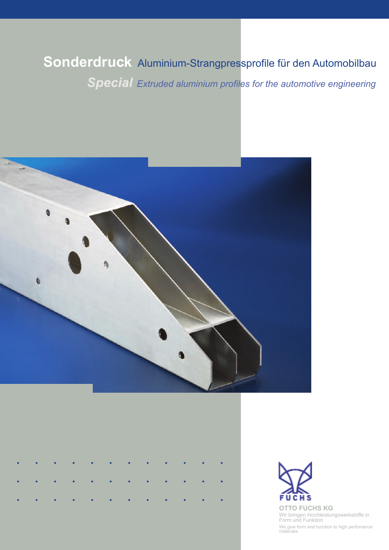# **Sonderdruck** Aluminium-Strangpressprofile für den Automobilbau *Extruded aluminium profiles for the automotive engineering*







We give form and function to high perfomance materials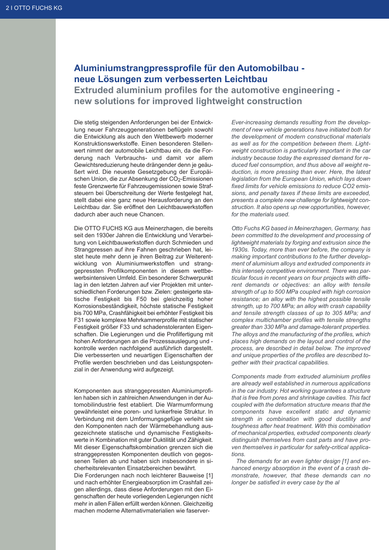# **Aluminiumstrangpressprofile für den Automobilbau neue Lösungen zum verbesserten Leichtbau**

**Extruded aluminium profiles for the automotive engineering new solutions for improved lightweight construction**

Die stetig steigenden Anforderungen bei der Entwicklung neuer Fahrzeuggenerationen beflügeln sowohl die Entwicklung als auch den Wettbewerb moderner Konstruktionswerkstoffe. Einen besonderen Stellenwert nimmt der automobile Leichtbau ein, da die Forderung nach Verbrauchs- und damit vor allem Gewichtsreduzierung heute drängender denn je geäußert wird. Die neueste Gesetzgebung der Europäischen Union, die zur Absenkung der CO<sub>2</sub>-Emissionen feste Grenzwerte für Fahrzeugemissionen sowie Strafsteuern bei Überschreitung der Werte festgelegt hat, stellt dabei eine ganz neue Herausforderung an den Leichtbau dar. Sie eröffnet den Leichtbauwerkstoffen dadurch aber auch neue Chancen.

Die OTTO FUCHS KG aus Meinerzhagen, die bereits seit den 1930er Jahren die Entwicklung und Verarbeitung von Leichtbauwerkstoffen durch Schmieden und Strangpressen auf ihre Fahnen geschrieben hat, leistet heute mehr denn je ihren Beitrag zur Weiterentwicklung von Aluminiumwerkstoffen und stranggepressten Profilkomponenten in diesem wettbewerbsintensiven Umfeld. Ein besonderer Schwerpunkt lag in den letzten Jahren auf vier Projekten mit unterschiedlichen Forderungen bzw. Zielen: gesteigerte statische Festigkeit bis F50 bei gleichzeitig hoher Korrosionsbeständigkeit, höchste statische Festigkeit bis 700 MPa, Crashfähigkeit bei erhöhter Festigkeit bis F31 sowie komplexe Mehrkammerprofile mit statischer Festigkeit größer F33 und schadenstoleranten Eigenschaften. Die Legierungen und die Profilfertigung mit hohen Anforderungen an die Prozessauslegung und kontrolle werden nachfolgend ausführlich dargestellt. Die verbesserten und neuartigen Eigenschaften der Profile werden beschrieben und das Leistungspotenzial in der Anwendung wird aufgezeigt.

Komponenten aus stranggepressten Aluminiumprofilen haben sich in zahlreichen Anwendungen in der Automobilindustrie fest etabliert. Die Warmumformung gewährleistet eine poren- und lunkerfreie Struktur. In Verbindung mit dem Umformungsgefüge verleiht sie den Komponenten nach der Wärmebehandlung ausgezeichnete statische und dynamische Festigkeitswerte in Kombination mit guter Duktilität und Zähigkeit. Mit dieser Eigenschaftskombination grenzen sich die stranggepressten Komponenten deutlich von gegossenen Teilen ab und haben sich insbesondere in sicherheitsrelevanten Einsatzbereichen bewährt.

Die Forderungen nach noch leichterer Bauweise [1] und nach erhöhter Energieabsorption im Crashfall zeigen allerdings, dass diese Anforderungen mit den Eigenschaften der heute vorliegenden Legierungen nicht mehr in allen Fällen erfüllt werden können. Gleichzeitig machen moderne Alternativmaterialien wie faserver-

*Ever-increasing demands resulting from the development of new vehicle generations have initiated both for the development of modern constructional materials as well as for the competition between them. Lightweight construction is particularly important in the car industry because today the expressed demand for reduced fuel consumption, and thus above all weight reduction, is more pressing than ever. Here, the latest legislation from the European Union, which lays down fixed limits for vehicle emissions to reduce CO2 emissions, and penalty taxes if these limits are exceeded, presents a complete new challenge for lightweight construction. It also opens up new opportunities, however, for the materials used.*

*Otto Fuchs KG based in Meinerzhagen, Germany, has been committed to the development and processing of lightweight materials by forging and extrusion since the 1930s. Today, more than ever before, the company is making important contributions to the further development of aluminium alloys and extruded components in this intensely competitive environment. There was particular focus in recent years on four projects with different demands or objectives: an alloy with tensile strength of up to 500 MPa coupled with high corrosion resistance; an alloy with the highest possible tensile strength, up to 700 MPa; an alloy with crash capability and tensile strength classes of up to 305 MPa; and complex multichamber profiles with tensile strengths greater than 330 MPa and damage-tolerant properties. The alloys and the manufacturing of the profiles, which places high demands on the layout and control of the process, are described in detail below. The improved and unique properties of the profiles are described together with their practical capabilities.*

*Components made from extruded aluminium profiles are already well established in numerous applications in the car industry. Hot working guarantees a structure that is free from pores and shrinkage cavities. This fact coupled with the deformation structure means that the components have excellent static and dynamic strength in combination with good ductility and toughness after heat treatment. With this combination of mechanical properties, extruded components clearly distinguish themselves from cast parts and have proven themselves in particular for safety-critical applications.*

*The demands for an even lighter design [1] and enhanced energy absorption in the event of a crash demonstrate, however, that these demands can no longer be satisfied in every case by the al*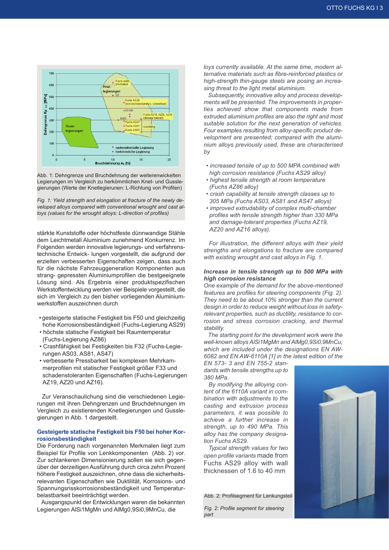

Abb. 1: Dehngrenze und Bruchdehnung der weiterenwickelten Legierungen im Vergleich zu herkömmlichen Knet- und Gusslegierungen (Werte der Knetlegierunen: L-Richtung von Profilen)

*Fig. 1: Yield strength and elongation at fracture of the newly developed alloys compared with conventional wrought and cast alloys (values for the wrought alloys: L-direction of profiles)*

stärkte Kunststoffe oder höchstfeste dünnwandige Stähle dem Leichtmetall Aluminium zunehmend Konkurrenz. Im Folgenden werden innovative legierungs- und verfahrenstechnische Entwick- lungen vorgestellt, die aufgrund der erzielten verbesserten Eigenschaften zeigen, dass auch für die nächste Fahrzeuggeneration Komponenten aus strang- gepressten Aluminiumprofilen die bestgeeignete Lösung sind. Als Ergebnis einer produktspezifischen Werkstoffentwicklung werden vier Beispiele vorgestellt, die sich im Vergleich zu den bisher vorliegenden Aluminiumwerkstoffen auszeichnen durch

- gesteigerte statische Festigkeit bis F50 und gleichzeitig hohe Korrosionsbeständigkeit (Fuchs-Legierung AS29)
- höchste statische Festigkeit bei Raumtemperatur (Fuchs-Legierung AZ86)
- Crashfähigkeit bei Festigkeiten bis F32 (Fuchs-Legie rungen AS03, AS81, AS47)
- verbesserte Pressbarkeit bei komplexen Mehrkam merprofilen mit statischer Festigkeit größer F33 und schadenstoleranten Eigenschaften (Fuchs-Legierungen AZ19, AZ20 und AZ16).

Zur Veranschaulichung sind die verschiedenen Legierungen mit ihren Dehngrenzen und Bruchdehnungen im Vergleich zu existierenden Knetlegierungen und Gusslegierungen in Abb. 1 dargestellt.

#### **Gesteigerte statische Festigkeit bis F50 bei hoher Korrosionsbeständigkeit**

Die Forderung nach vorgenannten Merkmalen liegt zum Beispiel für Profile von Lenkkomponenten (Abb. 2) vor. Zur schlankeren Dimensionierung sollen sie sich gegenüber der derzeitigen Ausführung durch circa zehn Prozent höhere Festigkeit auszeichnen, ohne dass die sicherheitsrelevanten Eigenschaften wie Duktilität, Korrosions- und Spannungsrisskorrosionsbeständigkeit und Temperaturbelastbarkeit beeinträchtigt werden.

Ausgangspunkt der Entwicklungen waren die bekannten Legierungen AlSi1MgMn und AlMg0,9Si0,9MnCu, die

*loys currently available. At the same time, modern alternative materials such as fibre-reinforced plastics or high-strength thin-gauge steels are posing an increasing threat to the light metal aluminium.*

*Subsequently, innovative alloy and process developments will be presented. The improvements in properties achieved show that components made from extruded aluminium profiles are also the right and most suitable solution for the next generation of vehicles. Four examples resulting from alloy-specific product development are presented; compared with the aluminium alloys previously used, these are characterised by*

- *• increased tensile of up to 500 MPA combined with high corrosion resistance (Fuchs AS29 alloy)*
- *• highest tensile strength at room temperature (Fuchs AZ86 alloy)*
- *• crash capability at tensile strength classes up to 305 MPa (Fuchs AS03, AS81 and AS47 alloys)*
- *• improved extrudability of complex multi-chamber profiles with tensile strength higher than 330 MPa and damage-tolerant properties (Fuchs AZ19, AZ20 and AZ16 alloys).*

*For illustration, the different alloys with their yield strengths and elongations to fracture are compared with existing wrought and cast alloys in Fig. 1.*

#### *Increase in tensile strength up to 500 MPa with high corrosion resistance*

*One example of the demand for the above-mentioned features are profiles for steering components (Fig. 2). They need to be about 10% stronger than the current design in order to reduce weight without loss in safetyrelevant properties, such as ductility, resistance to corrosion and stress corrosion cracking, and thermal stability.*

*The starting point for the development work were the well-known alloys AlSi1MgMn and AlMg0,9Si0,9MnCu, which are included under the designations EN AW-6082 and EN AW-6110A [1] in the latest edition of the*

*EN 573- 3 and EN 755-2 standards with tensile strengths up to 380 MPa.*

*By modifying the alloying content of the 6110A variant in combination with adjustments to the casting and extrusion process parameters, it was possible to achieve a further increase in strength, up to 490 MPa. This alloy has the company designation Fuchs AS29.*

*Typical strength values for two open profile variants* made from Fuchs AS29 alloy with wall thicknessen of 1.6 to 40 mm

Abb. 2: Profilsegment für Lenkungsteil

*Fig. 2: Profile segment for steering part*

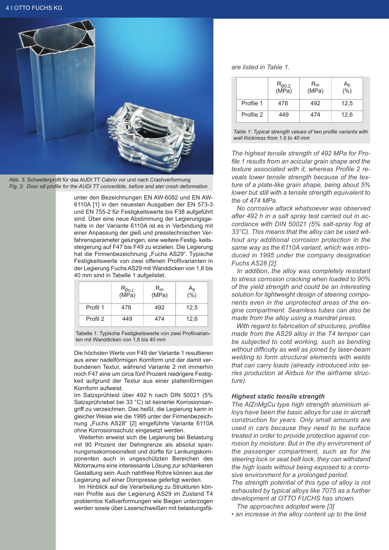

Abb. 3: Schwellerprofil für das AUDI TT Cabrio vor und nach Crashverformung *Fig. 3: Door sill profile for the AUDI TT convertible, before and ater crash deformation*

unter den Bezeichnungen EN AW-6082 und EN AW-6110A [1] in den neuesten Ausgaben der EN 573-3 und EN 755-2 für Festigkeitswerte bis F38 aufgeführt sind. Über eine neue Abstimmung der Legierungsgehalte in der Variante 6110A ist es in Verbindung mit einer Anpassung der gieß und presstechnischen Verfahrensparameter gelungen, eine weitere Festig- keitssteigerung auf F47 bis F49 zu erzielen. Die Legierung hat die Firmenbezeichnung "Fuchs AS29". Typische Festigkeitswerte von zwei offenen Profilvarianten in der Legierung Fuchs AS29 mit Wanddicken von 1,6 bis 40 mm sind in Tabelle 1 aufgelistet.

|          | $R_{p_{0,2}}$<br>(MPa) | $R_{m}$<br>(MPa) | $A_5$<br>(%) |
|----------|------------------------|------------------|--------------|
| Profil 1 | 478                    | 492              | 12,5         |
| Profil 2 | 449                    | 474              | 12,6         |

Tabelle 1: Typische Festigkeitswerte von zwei Profilvarianten mit Wanddicken von 1,6 bis 40 mm

Die höchsten Werte von F49 der Variante 1 resultieren aus einer nadelförmigen Kornform und der damit verbundenen Textur, während Variante 2 mit immerhin noch F47 eine um circa fünf Prozent niedrigere Festigkeit aufgrund der Textur aus einer plattenförmigen Kornform aufweist.

Im Salzsprühtest über 492 h nach DIN 50021 (5% Salzsprühnebel bei 33 °C) ist keinerlei Korrosionsangriff zu verzeichnen. Das heißt, die Legierung kann in gleicher Weise wie die 1995 unter der Firmenbezeichnung "Fuchs AS28" [2] eingeführte Variante 6110A ohne Korrosionsschutz eingesetzt werden.

Weiterhin erweist sich die Legierung bei Belastung mit 90 Prozent der Dehngrenze als absolut spannungsrisskorrosionsfest und dürfte für Lenkungskomponenten auch in ungeschützten Bereichen des Motorraums eine interessante Lösung zur schlankeren Gestaltung sein. Auch nahtfreie Rohre können aus der Legierung auf einer Dornpresse gefertigt werden.

Im Hinblick auf die Verarbeitung zu Strukturen können Profile aus der Legierung AS29 im Zustand T4 problemlos Kaltverformungen wie Biegen unterzogen werden sowie über Laserschweißen mit belastungsfä-

### *are listed in Table 1.*

|           | $R_{p0,2}$<br>(MPa) | $R_m$<br>(MPa) | $A_5$<br>(%) |
|-----------|---------------------|----------------|--------------|
| Profile 1 | 478                 | 492            | 12,5         |
| Profile 2 | 449                 | 474            | 12,6         |



*The highest tensile strength of 492 MPa for Profile 1 results from an acicular grain shape and the texture associated with it, whereas Profile 2 reveals lower tensile strength because of the texture of a plate-like grain shape, being about 5% lower but still with a tensile strength equivalent to the of 474 MPa.*

*No corrosive attack whatsoever was observed after 492 h in a salt spray test carried out in accordance with DIN 50021 (5% salt-spray fog at 33°C). This means that the alloy can be used without any additional corrosion protection in the same way as the 6110A variant, which was introduced in 1995 under the company designation Fuchs AS28 [2].*

*In addition, the alloy was completely resistant to stress corrosion cracking when loaded to 90% of the yield strength and could be an interesting solution for lightweight design of steering components even in the unprotected areas of the engine compartment. Seamless tubes can also be made from the alloy using a mandrel press.*

*With regard to fabrication of structures, profiles made from the AS29 alloy in the T4 temper can be subjected to cold working, such as bending without difficulty as well as joined by laser-beam welding to form structural elements with welds that can carry loads (already introduced into series production at Airbus for the airframe structure).*

# *Highest static tensile strength*

*The AlZnMgCu type high strength aluminium alloys have been the basic alloys for use in aircraft construction for years. Only small amounts are used in cars because they need to be surface treated in order to provide protection against corrosion by moisture. But in the dry environment of the passenger compartment, such as for the steering lock or seat belt lock, they can withstand the high loads without being exposed to a corrosive environment for a prolonged period.*

*The strength potential of this type of alloy is not exhausted by typical alloys like 7075 as a further development at OTTO FUCHS has shown.*

*The approaches adopted were [3]*

*• an increase in the alloy content up to the limit*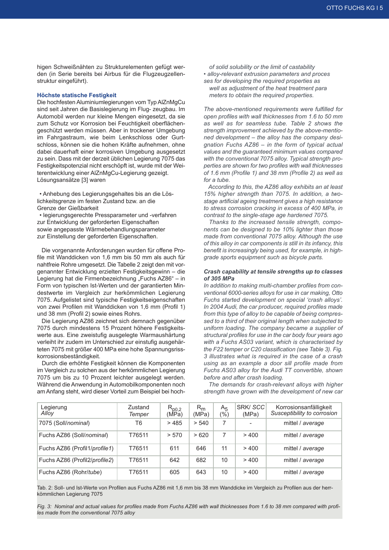higen Schweißnähten zu Strukturelementen gefügt werden (in Serie bereits bei Airbus für die Flugzeugzellenstruktur eingeführt).

#### **Höchste statische Festigkeit**

Die hochfesten Aluminiumlegierungen vom Typ AlZnMgCu sind seit Jahren die Basislegierung im Flug- zeugbau. Im Automobil werden nur kleine Mengen eingesetzt, da sie zum Schutz vor Korrosion bei Feuchtigkeit oberflächengeschützt werden müssen. Aber in trockener Umgebung im Fahrgastraum, wie beim Lenkschloss oder Gurtschloss, können sie die hohen Kräfte aufnehmen, ohne dabei dauerhaft einer korrosiven Umgebung ausgesetzt zu sein. Dass mit der derzeit üblichen Legierung 7075 das Festigkeitspotenzial nicht erschöpft ist, wurde mit der Weiterentwicklung einer AlZnMgCu-Legierung gezeigt. Lösungsansätze [3] waren

• Anhebung des Legierungsgehaltes bis an die Löslichkeitsgrenze im festen Zustand bzw. an die Grenze der Gießbarkeit

• legierungsgerechte Pressparameter und -verfahren zur Entwicklung der geforderten Eigenschaften sowie angepasste Wärmebehandlungsparameter zur Einstellung der geforderten Eigenschaften.

Die vorgenannte Anforderungen wurden für offene Profile mit Wanddicken von 1,6 mm bis 50 mm als auch für nahtfreie Rohre umgesetzt. Die Tabelle 2 zeigt den mit vorgenannter Entwicklung erzielten Festigkeitsgewinn – die Legierung hat die Firmenbezeichnung "Fuchs AZ86" – in Form von typischen Ist-Werten und der garantierten Mindestwerte im Vergleich zur herkömmlichen Legierung 7075. Aufgelistet sind typische Festigkeitseigenschaften von zwei Profilen mit Wanddicken von 1,6 mm (Profil 1) und 38 mm (Profil 2) sowie eines Rohrs.

Die Legierung AZ86 zeichnet sich demnach gegenüber 7075 durch mindestens 15 Prozent höhere Festigkeitswerte aus. Eine zweistufig ausgelegte Warmaushärtung verleiht ihr zudem im Unterschied zur einstufig ausgehärteten 7075 mit größer 400 MPa eine hohe Spannungsrisskorrosionsbeständigkeit.

Durch die erhöhte Festigkeit können die Komponenten im Vergleich zu solchen aus der herkömmlichen Legierung 7075 um bis zu 10 Prozent leichter ausgelegt werden. Während die Anwendung in Automobilkomponenten noch am Anfang steht, wird dieser Vorteil zum Beispiel bei hoch-

 *of solid solubility or the limit of castability • alloy-relevant extrusion parameters and proces ses for developing the required properties as well as adjustment of the heat treatment para meters to obtain the required properties.*

*The above-mentioned requirements were fulfilled for open profiles with wall thicknesses from 1.6 to 50 mm as well as for seamless tube. Table 2 shows the strength improvement achieved by the above-mentioned development – the alloy has the company designation Fuchs AZ86 – in the form of typical actual values and the guaranteed minimum values compared with the conventional 7075 alloy. Typical strength properties are shown for two profiles with wall thicknesses of 1.6 mm (Profile 1) and 38 mm (Profile 2) as well as for a tube.*

*According to this, the AZ86 alloy exhibits an at least 15% higher strength than 7075. In addition, a twostage artificial ageing treatment gives a high resistance to stress corrosion cracking in excess of 400 MPa, in contrast to the single-stage age hardened 7075.*

*Thanks to the increased tensile strength, components can be designed to be 10% lighter than those made from conventional 7075 alloy. Although the use of this alloy in car components is still in its infancy, this benefit is increasingly being used, for example, in highgrade sports equipment such as bicycle parts.*

#### *Crash capability at tensile strengths up to classes of 305 MPa*

*In addition to making multi-chamber profiles from conventional 6000-series alloys for use in car making, Otto Fuchs started development on special 'crash alloys'. In 2004 Audi, the car producer, required profiles made from this type of alloy to be capable of being compressed to a third of their original length when subjected to uniform loading. The company became a supplier of structural profiles for use in the car body four years ago with a Fuchs AS03 variant, which is characterised by the F22 temper or C20 classification (see Table 3). Fig. 3 illustrates what is required in the case of a crash using as an example a door sill profile made from Fuchs AS03 alloy for the Audi TT convertible, shown before and after crash loading.*

*The demands for crash-relevant alloys with higher strength have grown with the development of new car*

| Legierung<br>Alloy            | Zustand<br>Temper | $R_{p0,2}$<br>(MPa) | $R_{m}$<br>(MPa) | A <sub>5</sub><br>(%) | SRK/SCC<br>(MPa) | Korrosionsanfälligkeit<br>Susceptibility to corrosion |
|-------------------------------|-------------------|---------------------|------------------|-----------------------|------------------|-------------------------------------------------------|
| 7075 (Soll/nominal)           | T6                | >485                | > 540            |                       |                  | mittel / average                                      |
| Fuchs AZ86 (Soll/nominal)     | T76511            | > 570               | >620             | 7                     | >400             | mittel / average                                      |
| Fuchs AZ86 (Profil1/profile1) | T76511            | 611                 | 646              | 11                    | >400             | mittel / average                                      |
| Fuchs AZ86 (Profil2/profile2) | T76511            | 642                 | 682              | 10                    | >400             | mittel / average                                      |
| Fuchs AZ86 (Rohr/tube)        | T76511            | 605                 | 643              | 10                    | >400             | mittel / average                                      |

Tab. 2: Soll- und Ist-Werte von Profilen aus Fuchs AZ86 mit 1,6 mm bis 38 mm Wanddicke im Vergleich zu Profilen aus der herrkömmlichen Legierung 7075

Fig. 3: Nominal and actual values for profiles made from Fuchs AZ86 with wall thicknesses from 1.6 to 38 mm compared with profi*les made from the conventional 7075 alloy*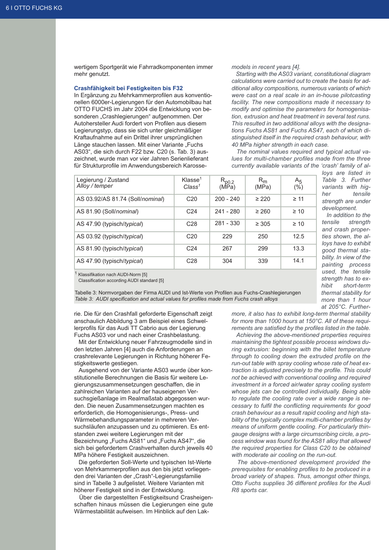wertigem Sportgerät wie Fahrradkomponenten immer mehr genutzt.

#### **Crashfähigkeit bei Festigkeiten bis F32**

In Ergänzung zu Mehrkammerprofilen aus konventionellen 6000er-Legierungen für den Automobilbau hat OTTO FUCHS im Jahr 2004 die Entwicklung von besonderen "Crashlegierungen" aufgenommen. Der Autohersteller Audi fordert von Profilen aus diesem Legierungstyp, dass sie sich unter gleichmäßiger Kraftaufnahme auf ein Drittel ihrer ursprünglichen Länge stauchen lassen. Mit einer Variante "Fuchs AS03", die sich durch F22 bzw. C20 (s. Tab. 3) auszeichnet, wurde man vor vier Jahren Serienlieferant für Strukturprofile im Anwendungsbereich Karosse-

#### *models in recent years [4].*

*Starting with the AS03 variant, constitutional diagram calculations were carried out to create the basis for additional alloy compositions, numerous variants of which were cast on a real scale in an in-house pilotcasting facility. The new compositions made it necessary to modify and optimise the parameters for homogenisation, extrusion and heat treatment in several test runs. This resulted in two additional alloys with the designations Fuchs AS81 and Fuchs AS47, each of which distinguished itself in the required crash behaviour, with 40 MPa higher strength in each case.*

*The nominal values required and typical actual values for multi-chamber profiles made from the three currently available variants of the 'crash' family of al-*

| Legierung / Zustand<br>Alloy / temper | Klasse <sup>1</sup><br>Class <sup>1</sup> | $R_{p0,2}$<br>(MPa) | $R_{m}$<br>(MPa) | $A_5$<br>$(\%)$ |
|---------------------------------------|-------------------------------------------|---------------------|------------------|-----------------|
| AS 03.92/AS 81.74 (Soll/nominal)      | C <sub>20</sub>                           | $200 - 240$         | $\geq 220$       | $\geq$ 11       |
| AS 81.90 (Soll/nominal)               | C <sub>24</sub>                           | 241 - 280           | $\geq 260$       | $\geq 10$       |
| AS 47.90 (typisch/typical)            | C <sub>28</sub>                           | 281 - 330           | $\geq 305$       | $\geq 10$       |
| AS 03.92 (typisch/typical)            | C <sub>20</sub>                           | 229                 | 250              | 12.5            |
| AS 81.90 (typisch/typical)            | C <sub>24</sub>                           | 267                 | 299              | 13.3            |
| AS 47.90 (typisch/typical)            | C <sub>28</sub>                           | 304                 | 339              | 14.1            |

*loys are listed in Table 3. Further variants with higher tensile strength are under development.*

*In addition to the tensile strength and crash properties shown, the alloys have to exhibit good thermal stability. In view of the painting process used, the tensile strength has to exhibit short-term thermal stability for more than 1 hour at 205°C. Further-*

Klassifikation nach AUDI-Norm [5]

Classification according AUDI standard [5]

Tabelle 3: Normvorgaben der Firma AUDI und Ist-Werte von Profilen aus Fuchs-Crashlegierungen *Table 3: AUDI specification and actual values for profiles made from Fuchs crash alloys*

rie. Die für den Crashfall geforderte Eigenschaft zeigt anschaulich Abbildung 3 am Beispiel eines Schwellerprofils für das Audi TT Cabrio aus der Legierung Fuchs AS03 vor und nach einer Crashbelastung.

Mit der Entwicklung neuer Fahrzeugmodelle sind in den letzten Jahren [4] auch die Anforderungen an crashrelevante Legierungen in Richtung höherer Festigkeitswerte gestiegen.

Ausgehend von der Variante AS03 wurde über konstitutionelle Berechnungen die Basis für weitere Legierungszusammensetzungen geschaffen, die in zahlreichen Varianten auf der hauseigenen Versuchsgießanlage im Realmaßstab abgegossen wurden. Die neuen Zusammensetzungen machten es erforderlich, die Homogenisierungs-, Press- und Wärmebehandlungsparameter in mehreren Versuchsläufen anzupassen und zu optimieren. Es entstanden zwei weitere Legierungen mit der Bezeichnung "Fuchs AS81" und "Fuchs AS47", die sich bei gefordertem Crashverhalten durch jeweils 40 MPa höhere Festigkeit auszeichnen.

Die geforderten Soll-Werte und typischen Ist-Werte von Mehrkammerprofilen aus den bis jetzt vorliegenden drei Varianten der "Crash"-Legierungsfamilie sind in Tabelle 3 aufgelistet. Weitere Varianten mit höherer Festigkeit sind in der Entwicklung.

Über die dargestellten Festigkeitsund Crasheigenschaften hinaus müssen die Legierungen eine gute Wärmestabilität aufweisen. Im Hinblick auf den Lak*more, it also has to exhibit long-term thermal stability for more than 1000 hours at 150°C. All of these requirements are satisfied by the profiles listed in the table.*

*Achieving the above-mentioned properties requires maintaining the tightest possible process windows during extrusion: beginning with the billet temperature through to cooling down the extruded profile on the run-out table with spray cooling whose rate of heat extraction is adjusted precisely to the profile. This could not be achieved with conventional cooling and required investment in a forced air/water spray cooling system whose jets can be controlled individually. Being able to regulate the cooling rate over a wide range is necessary to fulfil the conflicting requirements for good crash behaviour as a result rapid cooling and high stability of the typically complex multi-chamber profiles by means of uniform gentle cooling. For particularly thingauge designs with a large circumscribing circle, a process window was found for the AS81 alloy that allowed the required properties for Class C20 to be obtained with moderate air cooling on the run-out.*

*The above-mentioned development provided the prerequisites for enabling profiles to be produced in a broad variety of shapes. Thus, amongst other things, Otto Fuchs supplies 36 different profiles for the Audi R8 sports car.*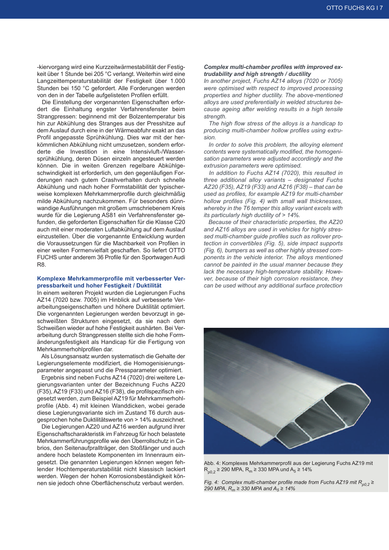-kiervorgang wird eine Kurzzeitwärmestabilität der Festigkeit über 1 Stunde bei 205 °C verlangt. Weiterhin wird eine Langzeittemperaturstabilität der Festigkeit über 1.000 Stunden bei 150 °C gefordert. Alle Forderungen werden von den in der Tabelle aufgelisteten Profilen erfüllt.

Die Einstellung der vorgenannten Eigenschaften erfordert die Einhaltung engster Verfahrensfenster beim Strangpressen: beginnend mit der Bolzentemperatur bis hin zur Abkühlung des Stranges aus der Presshitze auf dem Auslauf durch eine in der Wärmeabfuhr exakt an das Profil angepasste Sprühkühlung. Dies war mit der herkömmlichen Abkühlung nicht umzusetzen, sondern erforderte die Investition in eine Intensivluft-/Wassersprühkühlung, deren Düsen einzeln angesteuert werden können. Die in weiten Grenzen regelbare Abkühlgeschwindigkeit ist erforderlich, um den gegenläufigen Forderungen nach gutem Crashverhalten durch schnelle Abkühlung und nach hoher Formstabilität der typischerweise komplexen Mehrkammerprofile durch gleichmäßig milde Abkühlung nachzukommen. Für besonders dünnwandige Ausführungen mit großem umschriebenem Kreis wurde für die Legierung AS81 ein Verfahrensfenster gefunden, die geforderten Eigenschaften für die Klasse C20 auch mit einer moderaten Luftabkühlung auf dem Auslauf einzustellen. Über die vorgenannte Entwicklung wurden die Voraussetzungen für die Machbarkeit von Profilen in einer weiten Formenvielfalt geschaffen. So liefert OTTO FUCHS unter anderem 36 Profile für den Sportwagen Audi R8.

#### **Komplexe Mehrkammerprofile mit verbesserter Verpressbarkeit und hoher Festigkeit / Duktilität**

In einem weiteren Projekt wurden die Legierungen Fuchs AZ14 (7020 bzw. 7005) im Hinblick auf verbesserte Verarbeitungseigenschaften und höhere Duktilität optimiert. Die vorgenannten Legierungen werden bevorzugt in geschweißten Strukturen eingesetzt, da sie nach dem Schweißen wieder auf hohe Festigkeit aushärten. Bei Verarbeitung durch Strangpressen stellte sich die hohe Formänderungsfestigkeit als Handicap für die Fertigung von Mehrkammerhohlprofilen dar.

Als Lösungsansatz wurden systematisch die Gehalte der Legierungselemente modifiziert, die Homogenisierungsparameter angepasst und die Pressparameter optimiert.

Ergebnis sind neben Fuchs AZ14 (7020) drei weitere Legierungsvarianten unter der Bezeichnung Fuchs AZ20 (F35), AZ19 (F33) und AZ16 (F38), die profilspezifisch eingesetzt werden, zum Beispiel AZ19 für Mehrkammerhohlprofile (Abb. 4) mit kleinen Wanddicken, wobei gerade diese Legierungsvariante sich im Zustand T6 durch ausgesprochen hohe Duktilitätswerte von > 14% auszeichnet.

Die Legierungen AZ20 und AZ16 werden aufgrund ihrer Eigenschaftscharakteristik im Fahrzeug für hoch belastete Mehrkammerführungsprofile wie den Überrollschutz in Cabrios, den Seitenaufprallträger, den Stoßfänger und auch andere hoch belastete Komponenten im Innenraum eingesetzt. Die genannten Legierungen können wegen fehlender Hochtemperaturstabilität nicht klassisch lackiert werden. Wegen der hohen Korrosionsbeständigkeit können sie jedoch ohne Oberflächenschutz verbaut werden.

#### *Complex multi-chamber profiles with improved extrudability and high strength / ductility*

*In another project, Fuchs AZ14 alloys (7020 or 7005) were optimised with respect to improved processing properties and higher ductility. The above-mentioned alloys are used preferentially in welded structures because ageing after welding results in a high tensile strength.*

*The high flow stress of the alloys is a handicap to producing multi-chamber hollow profiles using extrusion.*

*In order to solve this problem, the alloying element contents were systematically modified, the homogenisation parameters were adjusted accordingly and the extrusion parameters were optimised.*

*In addition to Fuchs AZ14 (7020), this resulted in three additional alloy variants – designated Fuchs AZ20 (F35), AZ19 (F33) and AZ16 (F38) – that can be used as profiles, for example AZ19 for multi-chamber hollow profiles (Fig. 4) with small wall thicknesses, whereby in the T6 temper this alloy variant excels with its particularly high ductility of > 14%.*

*Because of their characteristic properties, the AZ20 and AZ16 alloys are used in vehicles for highly stressed multi-chamber guide profiles such as rollover protection in convertibles (Fig. 5), side impact supports (Fig. 6), bumpers as well as other highly stressed components in the vehicle interior. The alloys mentioned cannot be painted in the usual manner because they lack the necessary high-temperature stability. However, because of their high corrosion resistance, they can be used without any additional surface protection*



Abb. 4: Komplexes Mehrkammerprofil aus der Legierung Fuchs AZ19 mit  $R_{p0.2}$  ≥ 290 MPA,  $R_m$  ≥ 330 MPA und  $A_5$  ≥ 14%

*Fig. 4: Complex multi-chamber profile made from Fuchs AZ19 mit Rp0,2 ≥* 290 *MPA,*  $R_m$  ≥ 330 *MPA* and  $A_5$  ≥ 14%